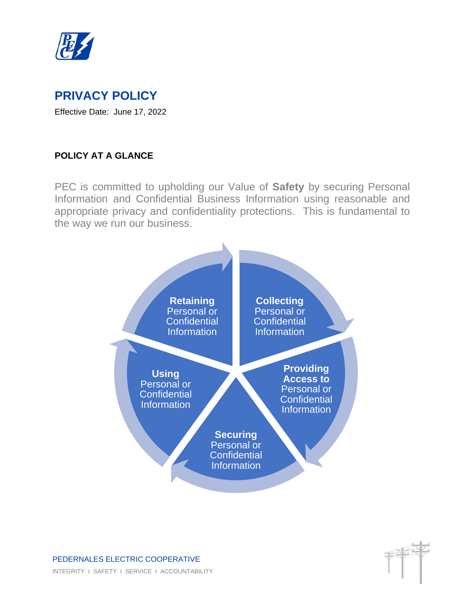

# **PRIVACY POLICY**

Effective Date: June 17, 2022

## **POLICY AT A GLANCE**

PEC is committed to upholding our Value of **Safety** by securing Personal Information and Confidential Business Information using reasonable and appropriate privacy and confidentiality protections. This is fundamental to the way we run our business.

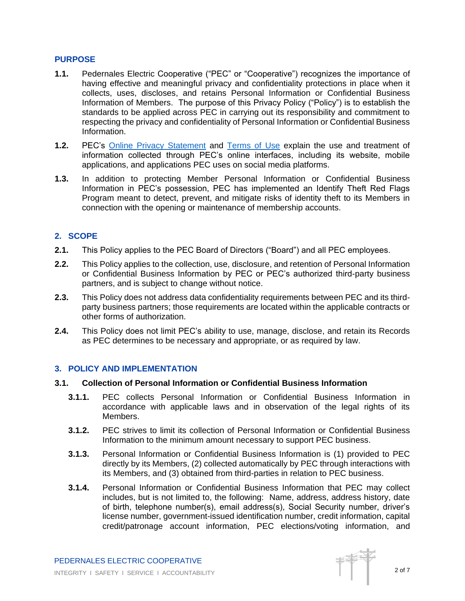## **PURPOSE**

- **1.1.** Pedernales Electric Cooperative ("PEC" or "Cooperative") recognizes the importance of having effective and meaningful privacy and confidentiality protections in place when it collects, uses, discloses, and retains Personal Information or Confidential Business Information of Members. The purpose of this Privacy Policy ("Policy") is to establish the standards to be applied across PEC in carrying out its responsibility and commitment to respecting the privacy and confidentiality of Personal Information or Confidential Business Information.
- **1.2.** PEC's [Online Privacy Statement](https://www.pec.coop/privacy/) and [Terms of Use](https://www.pec.coop/terms-of-use/) explain the use and treatment of information collected through PEC's online interfaces, including its website, mobile applications, and applications PEC uses on social media platforms.
- **1.3.** In addition to protecting Member Personal Information or Confidential Business Information in PEC's possession, PEC has implemented an Identify Theft Red Flags Program meant to detect, prevent, and mitigate risks of identity theft to its Members in connection with the opening or maintenance of membership accounts.

## **2. SCOPE**

- **2.1.** This Policy applies to the PEC Board of Directors ("Board") and all PEC employees.
- **2.2.** This Policy applies to the collection, use, disclosure, and retention of Personal Information or Confidential Business Information by PEC or PEC's authorized third-party business partners, and is subject to change without notice.
- **2.3.** This Policy does not address data confidentiality requirements between PEC and its thirdparty business partners; those requirements are located within the applicable contracts or other forms of authorization.
- **2.4.** This Policy does not limit PEC's ability to use, manage, disclose, and retain its Records as PEC determines to be necessary and appropriate, or as required by law.

## **3. POLICY AND IMPLEMENTATION**

#### **3.1. Collection of Personal Information or Confidential Business Information**

- **3.1.1.** PEC collects Personal Information or Confidential Business Information in accordance with applicable laws and in observation of the legal rights of its Members.
- **3.1.2.** PEC strives to limit its collection of Personal Information or Confidential Business Information to the minimum amount necessary to support PEC business.
- **3.1.3.** Personal Information or Confidential Business Information is (1) provided to PEC directly by its Members, (2) collected automatically by PEC through interactions with its Members, and (3) obtained from third-parties in relation to PEC business.
- **3.1.4.** Personal Information or Confidential Business Information that PEC may collect includes, but is not limited to, the following: Name, address, address history, date of birth, telephone number(s), email address(s), Social Security number, driver's license number, government-issued identification number, credit information, capital credit/patronage account information, PEC elections/voting information, and

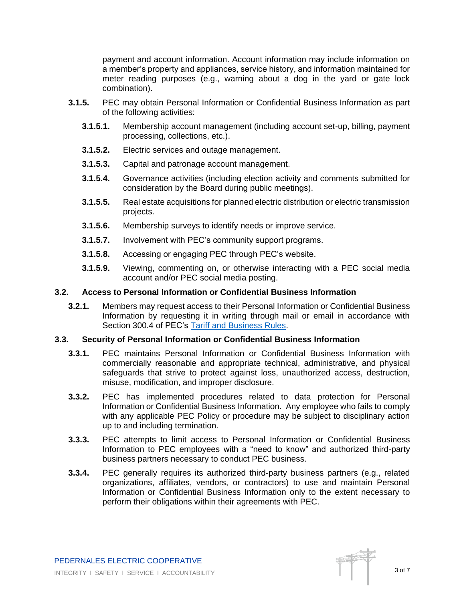payment and account information. Account information may include information on a member's property and appliances, service history, and information maintained for meter reading purposes (e.g., warning about a dog in the yard or gate lock combination).

- **3.1.5.** PEC may obtain Personal Information or Confidential Business Information as part of the following activities:
	- **3.1.5.1.** Membership account management (including account set-up, billing, payment processing, collections, etc.).
	- **3.1.5.2.** Electric services and outage management.
	- **3.1.5.3.** Capital and patronage account management.
	- **3.1.5.4.** Governance activities (including election activity and comments submitted for consideration by the Board during public meetings).
	- **3.1.5.5.** Real estate acquisitions for planned electric distribution or electric transmission projects.
	- **3.1.5.6.** Membership surveys to identify needs or improve service.
	- **3.1.5.7.** Involvement with PEC's community support programs.
	- **3.1.5.8.** Accessing or engaging PEC through PEC's website.
	- **3.1.5.9.** Viewing, commenting on, or otherwise interacting with a PEC social media account and/or PEC social media posting.

#### **3.2. Access to Personal Information or Confidential Business Information**

**3.2.1.** Members may request access to their Personal Information or Confidential Business Information by requesting it in writing through mail or email in accordance with Section 300.4 of PEC's [Tariff and Business Rules.](https://2bqwe7212tygr0q3a7b9e1bv-wpengine.netdna-ssl.com/wp-content/uploads/tariff/Tariff_and_Business_Rules.pdf)

#### **3.3. Security of Personal Information or Confidential Business Information**

- **3.3.1.** PEC maintains Personal Information or Confidential Business Information with commercially reasonable and appropriate technical, administrative, and physical safeguards that strive to protect against loss, unauthorized access, destruction, misuse, modification, and improper disclosure.
- **3.3.2.** PEC has implemented procedures related to data protection for Personal Information or Confidential Business Information. Any employee who fails to comply with any applicable PEC Policy or procedure may be subject to disciplinary action up to and including termination.
- **3.3.3.** PEC attempts to limit access to Personal Information or Confidential Business Information to PEC employees with a "need to know" and authorized third-party business partners necessary to conduct PEC business.
- **3.3.4.** PEC generally requires its authorized third-party business partners (e.g., related organizations, affiliates, vendors, or contractors) to use and maintain Personal Information or Confidential Business Information only to the extent necessary to perform their obligations within their agreements with PEC.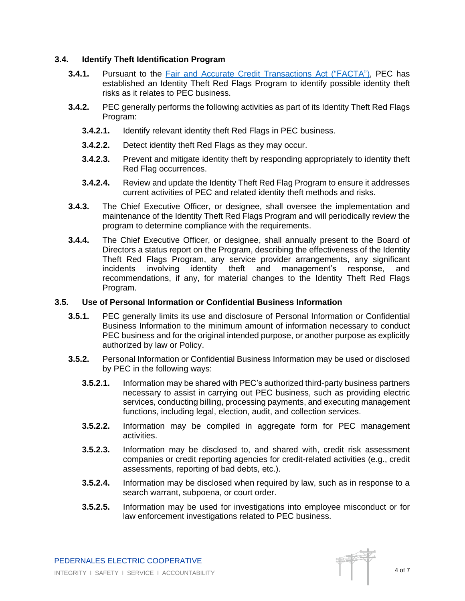## **3.4. Identify Theft Identification Program**

- **3.4.1.** Pursuant to the Fair and Accurate Credit [Transactions Act \("FACTA"\),](https://www.ftc.gov/enforcement/statutes/fair-accurate-credit-transactions-act-2003) PEC has established an Identity Theft Red Flags Program to identify possible identity theft risks as it relates to PEC business.
- **3.4.2.** PEC generally performs the following activities as part of its Identity Theft Red Flags Program:
	- **3.4.2.1.** Identify relevant identity theft Red Flags in PEC business.
	- **3.4.2.2.** Detect identity theft Red Flags as they may occur.
	- **3.4.2.3.** Prevent and mitigate identity theft by responding appropriately to identity theft Red Flag occurrences.
	- **3.4.2.4.** Review and update the Identity Theft Red Flag Program to ensure it addresses current activities of PEC and related identity theft methods and risks.
- **3.4.3.** The Chief Executive Officer, or designee, shall oversee the implementation and maintenance of the Identity Theft Red Flags Program and will periodically review the program to determine compliance with the requirements.
- **3.4.4.** The Chief Executive Officer, or designee, shall annually present to the Board of Directors a status report on the Program, describing the effectiveness of the Identity Theft Red Flags Program, any service provider arrangements, any significant incidents involving identity theft and management's response, and recommendations, if any, for material changes to the Identity Theft Red Flags Program.

#### **3.5. Use of Personal Information or Confidential Business Information**

- **3.5.1.** PEC generally limits its use and disclosure of Personal Information or Confidential Business Information to the minimum amount of information necessary to conduct PEC business and for the original intended purpose, or another purpose as explicitly authorized by law or Policy.
- **3.5.2.** Personal Information or Confidential Business Information may be used or disclosed by PEC in the following ways:
	- **3.5.2.1.** Information may be shared with PEC's authorized third-party business partners necessary to assist in carrying out PEC business, such as providing electric services, conducting billing, processing payments, and executing management functions, including legal, election, audit, and collection services.
	- **3.5.2.2.** Information may be compiled in aggregate form for PEC management activities.
	- **3.5.2.3.** Information may be disclosed to, and shared with, credit risk assessment companies or credit reporting agencies for credit-related activities (e.g., credit assessments, reporting of bad debts, etc.).
	- **3.5.2.4.** Information may be disclosed when required by law, such as in response to a search warrant, subpoena, or court order.
	- **3.5.2.5.** Information may be used for investigations into employee misconduct or for law enforcement investigations related to PEC business.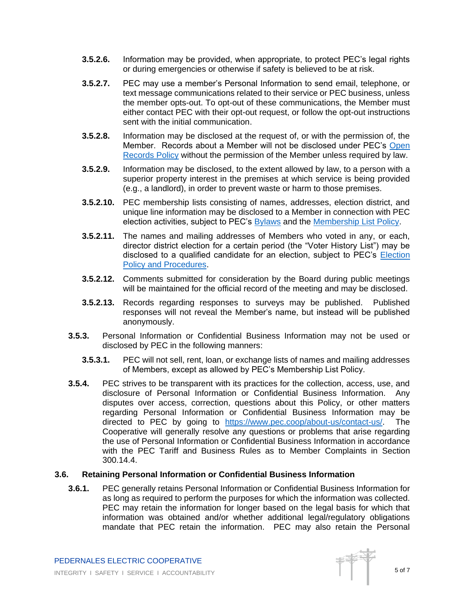- **3.5.2.6.** Information may be provided, when appropriate, to protect PEC's legal rights or during emergencies or otherwise if safety is believed to be at risk.
- **3.5.2.7.** PEC may use a member's Personal Information to send email, telephone, or text message communications related to their service or PEC business, unless the member opts-out. To opt-out of these communications, the Member must either contact PEC with their opt-out request, or follow the opt-out instructions sent with the initial communication.
- **3.5.2.8.** Information may be disclosed at the request of, or with the permission of, the Member. Records about a Member will not be disclosed under PEC's [Open](https://2bqwe7212tygr0q3a7b9e1bv-wpengine.netdna-ssl.com/wp-content/uploads/2020/11/open_records_policy.pdf)  [Records Policy](https://2bqwe7212tygr0q3a7b9e1bv-wpengine.netdna-ssl.com/wp-content/uploads/2020/11/open_records_policy.pdf) without the permission of the Member unless required by law.
- **3.5.2.9.** Information may be disclosed, to the extent allowed by law, to a person with a superior property interest in the premises at which service is being provided (e.g., a landlord), in order to prevent waste or harm to those premises.
- **3.5.2.10.** PEC membership lists consisting of names, addresses, election district, and unique line information may be disclosed to a Member in connection with PEC election activities, subject to PEC's [Bylaws](https://2bqwe7212tygr0q3a7b9e1bv-wpengine.netdna-ssl.com/wp-content/uploads/2020/10/Bylaws-FINAL-09-2020.pdf) and the [Membership List Policy.](https://2bqwe7212tygr0q3a7b9e1bv-wpengine.netdna-ssl.com/wp-content/uploads/2020/11/membership_list_policy.pdf)
- **3.5.2.11.** The names and mailing addresses of Members who voted in any, or each, director district election for a certain period (the "Voter History List") may be disclosed to a qualified candidate for an election, subject to PEC's [Election](https://2bqwe7212tygr0q3a7b9e1bv-wpengine.netdna-ssl.com/wp-content/uploads/2021/10/Election-Policy-and-Procedures.pdf)  [Policy and Procedures.](https://2bqwe7212tygr0q3a7b9e1bv-wpengine.netdna-ssl.com/wp-content/uploads/2021/10/Election-Policy-and-Procedures.pdf)
- **3.5.2.12.** Comments submitted for consideration by the Board during public meetings will be maintained for the official record of the meeting and may be disclosed.
- **3.5.2.13.** Records regarding responses to surveys may be published. Published responses will not reveal the Member's name, but instead will be published anonymously.
- **3.5.3.** Personal Information or Confidential Business Information may not be used or disclosed by PEC in the following manners:
	- **3.5.3.1.** PEC will not sell, rent, loan, or exchange lists of names and mailing addresses of Members, except as allowed by PEC's Membership List Policy.
- **3.5.4.** PEC strives to be transparent with its practices for the collection, access, use, and disclosure of Personal Information or Confidential Business Information. Any disputes over access, correction, questions about this Policy, or other matters regarding Personal Information or Confidential Business Information may be directed to PEC by going to [https://www.pec.coop/about-us/contact-us/.](https://www.pec.coop/about-us/contact-us/) The Cooperative will generally resolve any questions or problems that arise regarding the use of Personal Information or Confidential Business Information in accordance with the PEC Tariff and Business Rules as to Member Complaints in Section 300.14.4.

## **3.6. Retaining Personal Information or Confidential Business Information**

**3.6.1.** PEC generally retains Personal Information or Confidential Business Information for as long as required to perform the purposes for which the information was collected. PEC may retain the information for longer based on the legal basis for which that information was obtained and/or whether additional legal/regulatory obligations mandate that PEC retain the information. PEC may also retain the Personal

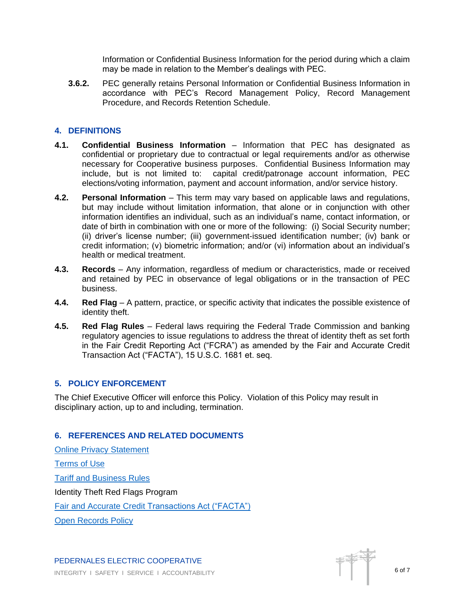Information or Confidential Business Information for the period during which a claim may be made in relation to the Member's dealings with PEC.

**3.6.2.** PEC generally retains Personal Information or Confidential Business Information in accordance with PEC's Record Management Policy, Record Management Procedure, and Records Retention Schedule.

## **4. DEFINITIONS**

- **4.1. Confidential Business Information** Information that PEC has designated as confidential or proprietary due to contractual or legal requirements and/or as otherwise necessary for Cooperative business purposes. Confidential Business Information may include, but is not limited to: capital credit/patronage account information, PEC elections/voting information, payment and account information, and/or service history.
- **4.2. Personal Information** This term may vary based on applicable laws and regulations, but may include without limitation information, that alone or in conjunction with other information identifies an individual, such as an individual's name, contact information, or date of birth in combination with one or more of the following: (i) Social Security number; (ii) driver's license number; (iii) government-issued identification number; (iv) bank or credit information; (v) biometric information; and/or (vi) information about an individual's health or medical treatment.
- **4.3. Records**  Any information, regardless of medium or characteristics, made or received and retained by PEC in observance of legal obligations or in the transaction of PEC business.
- **4.4. Red Flag**  A pattern, practice, or specific activity that indicates the possible existence of identity theft.
- **4.5. Red Flag Rules**  Federal laws requiring the Federal Trade Commission and banking regulatory agencies to issue regulations to address the threat of identity theft as set forth in the Fair Credit Reporting Act ("FCRA") as amended by the Fair and Accurate Credit Transaction Act ("FACTA"), 15 U.S.C. 1681 et. seq.

## **5. POLICY ENFORCEMENT**

The Chief Executive Officer will enforce this Policy. Violation of this Policy may result in disciplinary action, up to and including, termination.

## **6. REFERENCES AND RELATED DOCUMENTS**

[Online Privacy Statement](https://www.pec.coop/privacy/) [Terms of Use](https://www.pec.coop/terms-of-use/) [Tariff and Business Rules](https://2bqwe7212tygr0q3a7b9e1bv-wpengine.netdna-ssl.com/wp-content/uploads/tariff/Tariff_and_Business_Rules.pdf) Identity Theft Red Flags Program Fair and Accurate Credit [Transactions Act \("FACTA"\)](https://www.ftc.gov/enforcement/statutes/fair-accurate-credit-transactions-act-2003) [Open Records Policy](https://2bqwe7212tygr0q3a7b9e1bv-wpengine.netdna-ssl.com/wp-content/uploads/2020/11/open_records_policy.pdf)

PEDERNALES ELECTRIC COOPERATIVE INTEGRITY I SAFETY I SERVICE I ACCOUNTABILITY